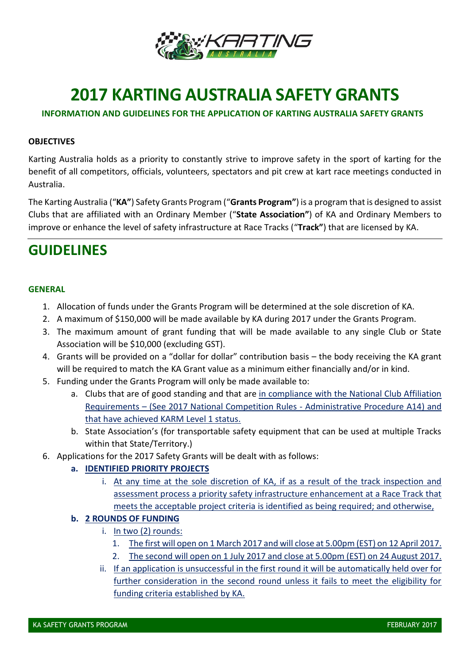

# **2017 KARTING AUSTRALIA SAFETY GRANTS**

# **INFORMATION AND GUIDELINES FOR THE APPLICATION OF KARTING AUSTRALIA SAFETY GRANTS**

#### **OBJECTIVES**

Karting Australia holds as a priority to constantly strive to improve safety in the sport of karting for the benefit of all competitors, officials, volunteers, spectators and pit crew at kart race meetings conducted in Australia.

The Karting Australia ("**KA"**) Safety Grants Program ("**Grants Program"**) is a program that is designed to assist Clubs that are affiliated with an Ordinary Member ("**State Association"**) of KA and Ordinary Members to improve or enhance the level of safety infrastructure at Race Tracks ("**Track"**) that are licensed by KA.

# **GUIDELINES**

#### **GENERAL**

- 1. Allocation of funds under the Grants Program will be determined at the sole discretion of KA.
- 2. A maximum of \$150,000 will be made available by KA during 2017 under the Grants Program.
- 3. The maximum amount of grant funding that will be made available to any single Club or State Association will be \$10,000 (excluding GST).
- 4. Grants will be provided on a "dollar for dollar" contribution basis the body receiving the KA grant will be required to match the KA Grant value as a minimum either financially and/or in kind.
- 5. Funding under the Grants Program will only be made available to:
	- a. Clubs that are of good standing and that are in compliance with the National Club Affiliation Requirements – (See 2017 National Competition Rules - Administrative Procedure A14) and that have achieved KARM Level 1 status.
	- b. State Association's (for transportable safety equipment that can be used at multiple Tracks within that State/Territory.)
- 6. Applications for the 2017 Safety Grants will be dealt with as follows:

## **a. IDENTIFIED PRIORITY PROJECTS**

i. At any time at the sole discretion of KA, if as a result of the track inspection and assessment process a priority safety infrastructure enhancement at a Race Track that meets the acceptable project criteria is identified as being required; and otherwise,

## **b. 2 ROUNDS OF FUNDING**

- i. In two (2) rounds:
	- 1. The first will open on 1 March 2017 and will close at 5.00pm (EST) on 12 April 2017.
	- 2. The second will open on 1 July 2017 and close at 5.00pm (EST) on 24 August 2017.
- ii. If an application is unsuccessful in the first round it will be automatically held over for further consideration in the second round unless it fails to meet the eligibility for funding criteria established by KA.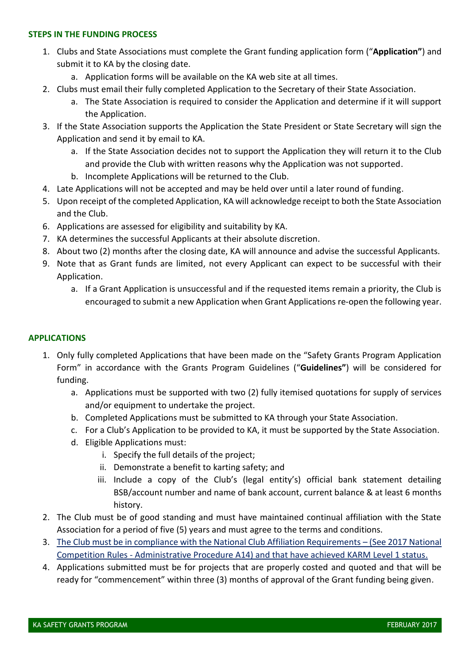#### **STEPS IN THE FUNDING PROCESS**

- 1. Clubs and State Associations must complete the Grant funding application form ("**Application"**) and submit it to KA by the closing date.
	- a. Application forms will be available on the KA web site at all times.
- 2. Clubs must email their fully completed Application to the Secretary of their State Association.
	- a. The State Association is required to consider the Application and determine if it will support the Application.
- 3. If the State Association supports the Application the State President or State Secretary will sign the Application and send it by email to KA.
	- a. If the State Association decides not to support the Application they will return it to the Club and provide the Club with written reasons why the Application was not supported.
	- b. Incomplete Applications will be returned to the Club.
- 4. Late Applications will not be accepted and may be held over until a later round of funding.
- 5. Upon receipt of the completed Application, KA will acknowledge receipt to both the State Association and the Club.
- 6. Applications are assessed for eligibility and suitability by KA.
- 7. KA determines the successful Applicants at their absolute discretion.
- 8. About two (2) months after the closing date, KA will announce and advise the successful Applicants.
- 9. Note that as Grant funds are limited, not every Applicant can expect to be successful with their Application.
	- a. If a Grant Application is unsuccessful and if the requested items remain a priority, the Club is encouraged to submit a new Application when Grant Applications re-open the following year.

# **APPLICATIONS**

- 1. Only fully completed Applications that have been made on the "Safety Grants Program Application Form" in accordance with the Grants Program Guidelines ("**Guidelines"**) will be considered for funding.
	- a. Applications must be supported with two (2) fully itemised quotations for supply of services and/or equipment to undertake the project.
	- b. Completed Applications must be submitted to KA through your State Association.
	- c. For a Club's Application to be provided to KA, it must be supported by the State Association.
	- d. Eligible Applications must:
		- i. Specify the full details of the project;
		- ii. Demonstrate a benefit to karting safety; and
		- iii. Include a copy of the Club's (legal entity's) official bank statement detailing BSB/account number and name of bank account, current balance & at least 6 months history.
- 2. The Club must be of good standing and must have maintained continual affiliation with the State Association for a period of five (5) years and must agree to the terms and conditions.
- 3. The Club must be in compliance with the National Club Affiliation Requirements (See 2017 National Competition Rules - Administrative Procedure A14) and that have achieved KARM Level 1 status.
- 4. Applications submitted must be for projects that are properly costed and quoted and that will be ready for "commencement" within three (3) months of approval of the Grant funding being given.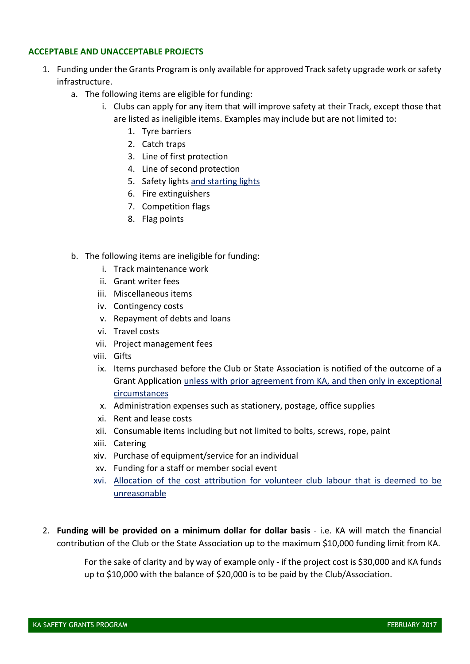#### **ACCEPTABLE AND UNACCEPTABLE PROJECTS**

- 1. Funding under the Grants Program is only available for approved Track safety upgrade work or safety infrastructure.
	- a. The following items are eligible for funding:
		- i. Clubs can apply for any item that will improve safety at their Track, except those that are listed as ineligible items. Examples may include but are not limited to:
			- 1. Tyre barriers
			- 2. Catch traps
			- 3. Line of first protection
			- 4. Line of second protection
			- 5. Safety lights and starting lights
			- 6. Fire extinguishers
			- 7. Competition flags
			- 8. Flag points
	- b. The following items are ineligible for funding:
		- i. Track maintenance work
		- ii. Grant writer fees
		- iii. Miscellaneous items
		- iv. Contingency costs
		- v. Repayment of debts and loans
		- vi. Travel costs
		- vii. Project management fees
		- viii. Gifts
		- ix. Items purchased before the Club or State Association is notified of the outcome of a Grant Application unless with prior agreement from KA, and then only in exceptional circumstances
		- x. Administration expenses such as stationery, postage, office supplies
		- xi. Rent and lease costs
		- xii. Consumable items including but not limited to bolts, screws, rope, paint
		- xiii. Catering
		- xiv. Purchase of equipment/service for an individual
		- xv. Funding for a staff or member social event
		- xvi. Allocation of the cost attribution for volunteer club labour that is deemed to be unreasonable
- 2. **Funding will be provided on a minimum dollar for dollar basis** i.e. KA will match the financial contribution of the Club or the State Association up to the maximum \$10,000 funding limit from KA.

For the sake of clarity and by way of example only - if the project cost is \$30,000 and KA funds up to \$10,000 with the balance of \$20,000 is to be paid by the Club/Association.